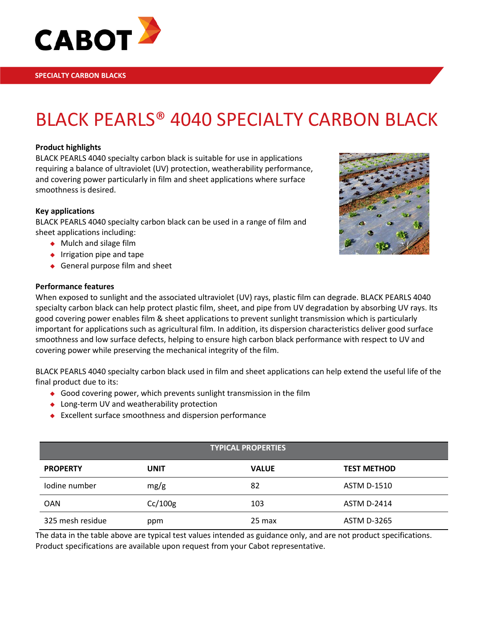

# BLACK PEARLS® 4040 SPECIALTY CARBON BLACK

#### **Product highlights**

BLACK PEARLS 4040 specialty carbon black is suitable for use in applications requiring a balance of ultraviolet (UV) protection, weatherability performance, and covering power particularly in film and sheet applications where surface smoothness is desired.

#### **Key applications**

BLACK PEARLS 4040 specialty carbon black can be used in a range of film and sheet applications including:

- ◆ Mulch and silage film
- $\bullet$  Irrigation pipe and tape
- ◆ General purpose film and sheet

#### **Performance features**

When exposed to sunlight and the associated ultraviolet (UV) rays, plastic film can degrade. BLACK PEARLS 4040 specialty carbon black can help protect plastic film, sheet, and pipe from UV degradation by absorbing UV rays. Its good covering power enables film & sheet applications to prevent sunlight transmission which is particularly important for applications such as agricultural film. In addition, its dispersion characteristics deliver good surface smoothness and low surface defects, helping to ensure high carbon black performance with respect to UV and covering power while preserving the mechanical integrity of the film.

BLACK PEARLS 4040 specialty carbon black used in film and sheet applications can help extend the useful life of the final product due to its:

- Good covering power, which prevents sunlight transmission in the film
- ◆ Long-term UV and weatherability protection
- Excellent surface smoothness and dispersion performance

| <b>TYPICAL PROPERTIES</b> |             |              |                    |  |  |
|---------------------------|-------------|--------------|--------------------|--|--|
| <b>PROPERTY</b>           | <b>UNIT</b> | <b>VALUE</b> | <b>TEST METHOD</b> |  |  |
| lodine number             | mg/g        | 82           | <b>ASTM D-1510</b> |  |  |
| <b>OAN</b>                | Cc/100g     | 103          | <b>ASTM D-2414</b> |  |  |
| 325 mesh residue          | ppm         | 25 max       | <b>ASTM D-3265</b> |  |  |

The data in the table above are typical test values intended as guidance only, and are not product specifications. Product specifications are available upon request from your Cabot representative.